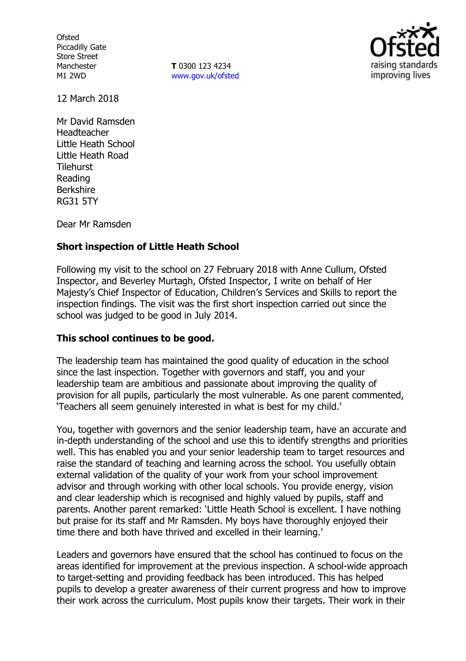**Ofsted** Piccadilly Gate Store Street Manchester M1 2WD

**T** 0300 123 4234 [www.gov.uk/ofsted](http://www.gov.uk/ofsted)



12 March 2018

Mr David Ramsden Headteacher Little Heath School Little Heath Road **Tilehurst** Reading Berkshire RG31 5TY

Dear Mr Ramsden

## **Short inspection of Little Heath School**

Following my visit to the school on 27 February 2018 with Anne Cullum, Ofsted Inspector, and Beverley Murtagh, Ofsted Inspector, I write on behalf of Her Majesty's Chief Inspector of Education, Children's Services and Skills to report the inspection findings. The visit was the first short inspection carried out since the school was judged to be good in July 2014.

## **This school continues to be good.**

The leadership team has maintained the good quality of education in the school since the last inspection. Together with governors and staff, you and your leadership team are ambitious and passionate about improving the quality of provision for all pupils, particularly the most vulnerable. As one parent commented, 'Teachers all seem genuinely interested in what is best for my child.'

You, together with governors and the senior leadership team, have an accurate and in-depth understanding of the school and use this to identify strengths and priorities well. This has enabled you and your senior leadership team to target resources and raise the standard of teaching and learning across the school. You usefully obtain external validation of the quality of your work from your school improvement advisor and through working with other local schools. You provide energy, vision and clear leadership which is recognised and highly valued by pupils, staff and parents. Another parent remarked: 'Little Heath School is excellent. I have nothing but praise for its staff and Mr Ramsden. My boys have thoroughly enjoyed their time there and both have thrived and excelled in their learning.'

Leaders and governors have ensured that the school has continued to focus on the areas identified for improvement at the previous inspection. A school-wide approach to target-setting and providing feedback has been introduced. This has helped pupils to develop a greater awareness of their current progress and how to improve their work across the curriculum. Most pupils know their targets. Their work in their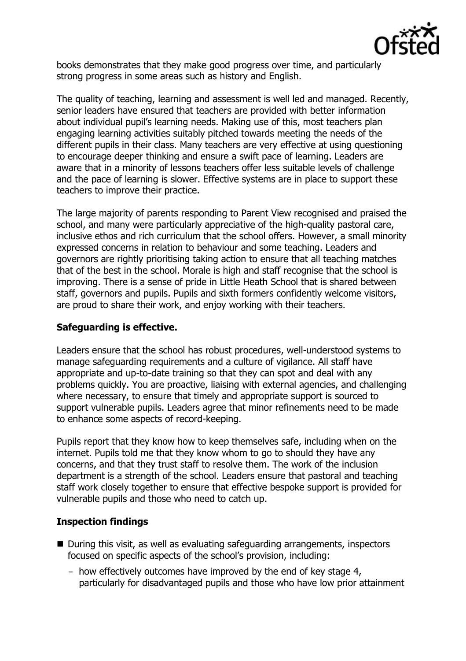

books demonstrates that they make good progress over time, and particularly strong progress in some areas such as history and English.

The quality of teaching, learning and assessment is well led and managed. Recently, senior leaders have ensured that teachers are provided with better information about individual pupil's learning needs. Making use of this, most teachers plan engaging learning activities suitably pitched towards meeting the needs of the different pupils in their class. Many teachers are very effective at using questioning to encourage deeper thinking and ensure a swift pace of learning. Leaders are aware that in a minority of lessons teachers offer less suitable levels of challenge and the pace of learning is slower. Effective systems are in place to support these teachers to improve their practice.

The large majority of parents responding to Parent View recognised and praised the school, and many were particularly appreciative of the high-quality pastoral care, inclusive ethos and rich curriculum that the school offers. However, a small minority expressed concerns in relation to behaviour and some teaching. Leaders and governors are rightly prioritising taking action to ensure that all teaching matches that of the best in the school. Morale is high and staff recognise that the school is improving. There is a sense of pride in Little Heath School that is shared between staff, governors and pupils. Pupils and sixth formers confidently welcome visitors, are proud to share their work, and enjoy working with their teachers.

## **Safeguarding is effective.**

Leaders ensure that the school has robust procedures, well-understood systems to manage safeguarding requirements and a culture of vigilance. All staff have appropriate and up-to-date training so that they can spot and deal with any problems quickly. You are proactive, liaising with external agencies, and challenging where necessary, to ensure that timely and appropriate support is sourced to support vulnerable pupils. Leaders agree that minor refinements need to be made to enhance some aspects of record-keeping.

Pupils report that they know how to keep themselves safe, including when on the internet. Pupils told me that they know whom to go to should they have any concerns, and that they trust staff to resolve them. The work of the inclusion department is a strength of the school. Leaders ensure that pastoral and teaching staff work closely together to ensure that effective bespoke support is provided for vulnerable pupils and those who need to catch up.

# **Inspection findings**

- During this visit, as well as evaluating safeguarding arrangements, inspectors focused on specific aspects of the school's provision, including:
	- how effectively outcomes have improved by the end of key stage 4, particularly for disadvantaged pupils and those who have low prior attainment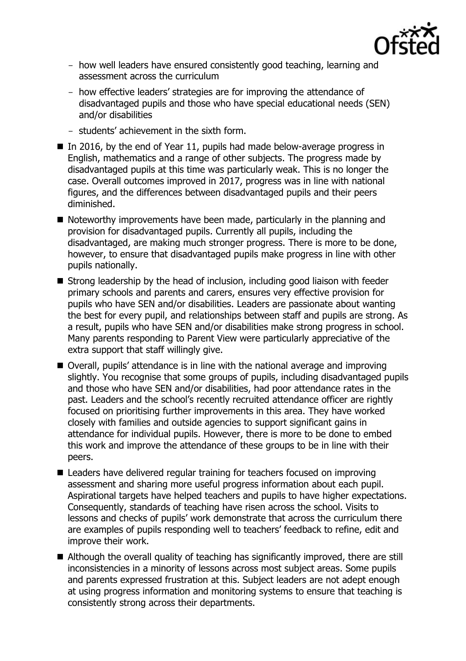

- how well leaders have ensured consistently good teaching, learning and assessment across the curriculum
- how effective leaders' strategies are for improving the attendance of disadvantaged pupils and those who have special educational needs (SEN) and/or disabilities
- students' achievement in the sixth form.
- In 2016, by the end of Year 11, pupils had made below-average progress in English, mathematics and a range of other subjects. The progress made by disadvantaged pupils at this time was particularly weak. This is no longer the case. Overall outcomes improved in 2017, progress was in line with national figures, and the differences between disadvantaged pupils and their peers diminished.
- Noteworthy improvements have been made, particularly in the planning and provision for disadvantaged pupils. Currently all pupils, including the disadvantaged, are making much stronger progress. There is more to be done, however, to ensure that disadvantaged pupils make progress in line with other pupils nationally.
- Strong leadership by the head of inclusion, including good liaison with feeder primary schools and parents and carers, ensures very effective provision for pupils who have SEN and/or disabilities. Leaders are passionate about wanting the best for every pupil, and relationships between staff and pupils are strong. As a result, pupils who have SEN and/or disabilities make strong progress in school. Many parents responding to Parent View were particularly appreciative of the extra support that staff willingly give.
- Overall, pupils' attendance is in line with the national average and improving slightly. You recognise that some groups of pupils, including disadvantaged pupils and those who have SEN and/or disabilities, had poor attendance rates in the past. Leaders and the school's recently recruited attendance officer are rightly focused on prioritising further improvements in this area. They have worked closely with families and outside agencies to support significant gains in attendance for individual pupils. However, there is more to be done to embed this work and improve the attendance of these groups to be in line with their peers.
- Leaders have delivered regular training for teachers focused on improving assessment and sharing more useful progress information about each pupil. Aspirational targets have helped teachers and pupils to have higher expectations. Consequently, standards of teaching have risen across the school. Visits to lessons and checks of pupils' work demonstrate that across the curriculum there are examples of pupils responding well to teachers' feedback to refine, edit and improve their work.
- Although the overall quality of teaching has significantly improved, there are still inconsistencies in a minority of lessons across most subject areas. Some pupils and parents expressed frustration at this. Subject leaders are not adept enough at using progress information and monitoring systems to ensure that teaching is consistently strong across their departments.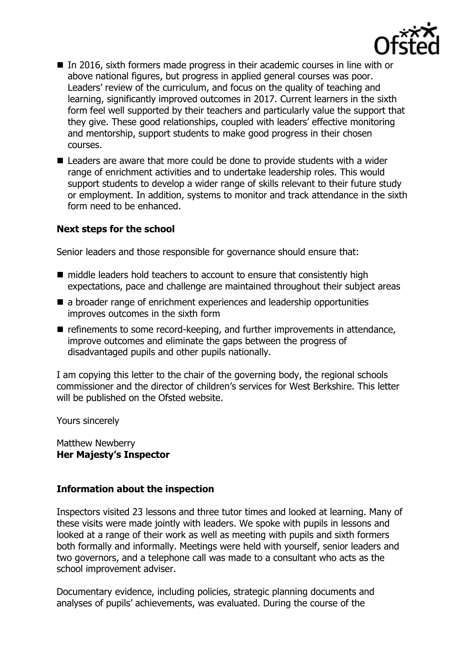

- In 2016, sixth formers made progress in their academic courses in line with or above national figures, but progress in applied general courses was poor. Leaders' review of the curriculum, and focus on the quality of teaching and learning, significantly improved outcomes in 2017. Current learners in the sixth form feel well supported by their teachers and particularly value the support that they give. These good relationships, coupled with leaders' effective monitoring and mentorship, support students to make good progress in their chosen courses.
- Leaders are aware that more could be done to provide students with a wider range of enrichment activities and to undertake leadership roles. This would support students to develop a wider range of skills relevant to their future study or employment. In addition, systems to monitor and track attendance in the sixth form need to be enhanced.

## **Next steps for the school**

Senior leaders and those responsible for governance should ensure that:

- middle leaders hold teachers to account to ensure that consistently high expectations, pace and challenge are maintained throughout their subject areas
- a broader range of enrichment experiences and leadership opportunities improves outcomes in the sixth form
- $\blacksquare$  refinements to some record-keeping, and further improvements in attendance, improve outcomes and eliminate the gaps between the progress of disadvantaged pupils and other pupils nationally.

I am copying this letter to the chair of the governing body, the regional schools commissioner and the director of children's services for West Berkshire. This letter will be published on the Ofsted website.

Yours sincerely

Matthew Newberry **Her Majesty's Inspector**

## **Information about the inspection**

Inspectors visited 23 lessons and three tutor times and looked at learning. Many of these visits were made jointly with leaders. We spoke with pupils in lessons and looked at a range of their work as well as meeting with pupils and sixth formers both formally and informally. Meetings were held with yourself, senior leaders and two governors, and a telephone call was made to a consultant who acts as the school improvement adviser.

Documentary evidence, including policies, strategic planning documents and analyses of pupils' achievements, was evaluated. During the course of the